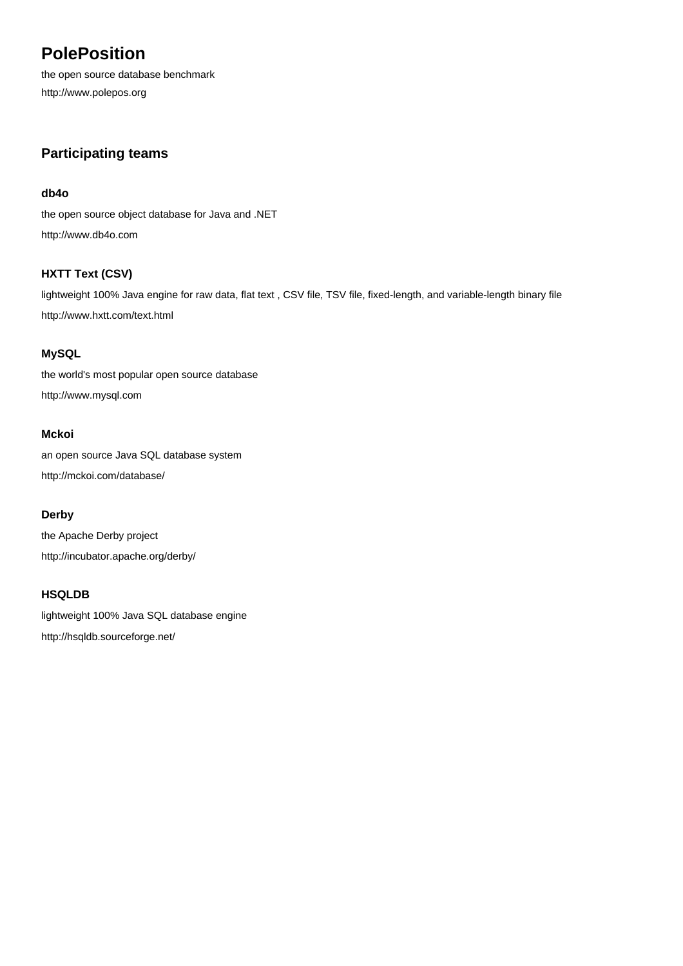# **PolePosition**

the open source database benchmark <http://www.polepos.org>

## **Participating teams**

#### **[db4o](http://www.db4o.com)**

[the open source object database for Java and .NET](http://www.db4o.com) <http://www.db4o.com>

## **[HXTT Text \(CSV\)](http://www.hxtt.com/text.html)**

[lightweight 100% Java engine for raw data, flat text , CSV file, TSV file, fixed-length, and variable-length binary file](http://www.hxtt.com/text.html) <http://www.hxtt.com/text.html>

## **[MySQL](http://www.mysql.com)**

[the world's most popular open source database](http://www.mysql.com) <http://www.mysql.com>

## **[Mckoi](http://mckoi.com/database/)**

[an open source Java SQL database system](http://mckoi.com/database/) <http://mckoi.com/database/>

#### **[Derby](http://incubator.apache.org/derby/)**

[the Apache Derby project](http://incubator.apache.org/derby/) <http://incubator.apache.org/derby/>

## **[HSQLDB](http://hsqldb.sourceforge.net/)**

[lightweight 100% Java SQL database engine](http://hsqldb.sourceforge.net/) <http://hsqldb.sourceforge.net/>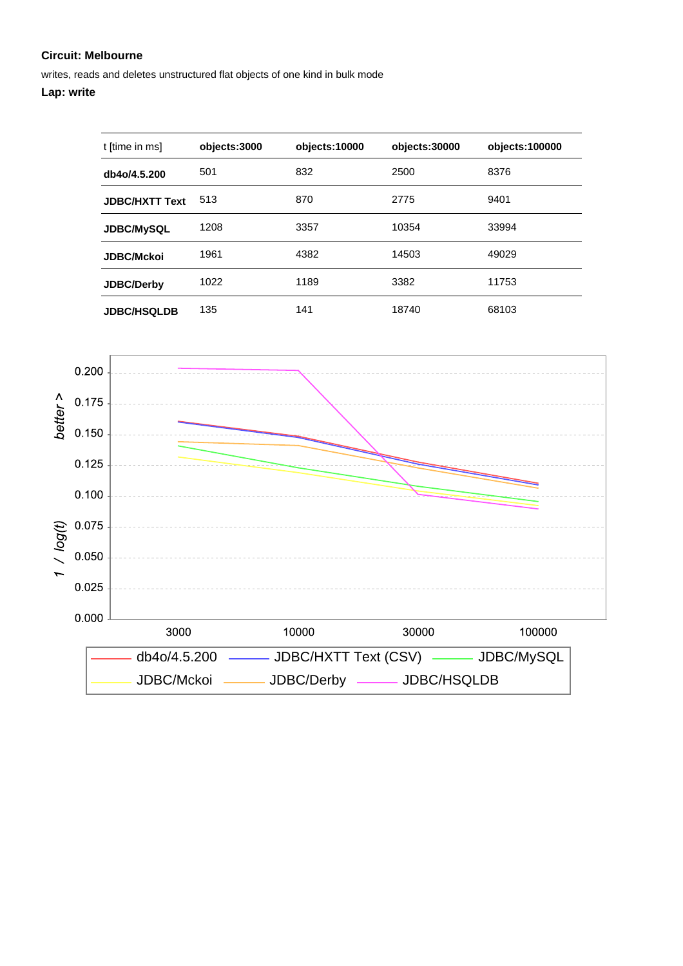writes, reads and deletes unstructured flat objects of one kind in bulk mode

| t [time in ms]        | objects:3000 | objects:10000 | objects:30000 | objects:100000 |
|-----------------------|--------------|---------------|---------------|----------------|
| db4o/4.5.200          | 501          | 832           | 2500          | 8376           |
| <b>JDBC/HXTT Text</b> | 513          | 870           | 2775          | 9401           |
| <b>JDBC/MySQL</b>     | 1208         | 3357          | 10354         | 33994          |
| <b>JDBC/Mckoi</b>     | 1961         | 4382          | 14503         | 49029          |
| <b>JDBC/Derby</b>     | 1022         | 1189          | 3382          | 11753          |
| <b>JDBC/HSQLDB</b>    | 135          | 141           | 18740         | 68103          |

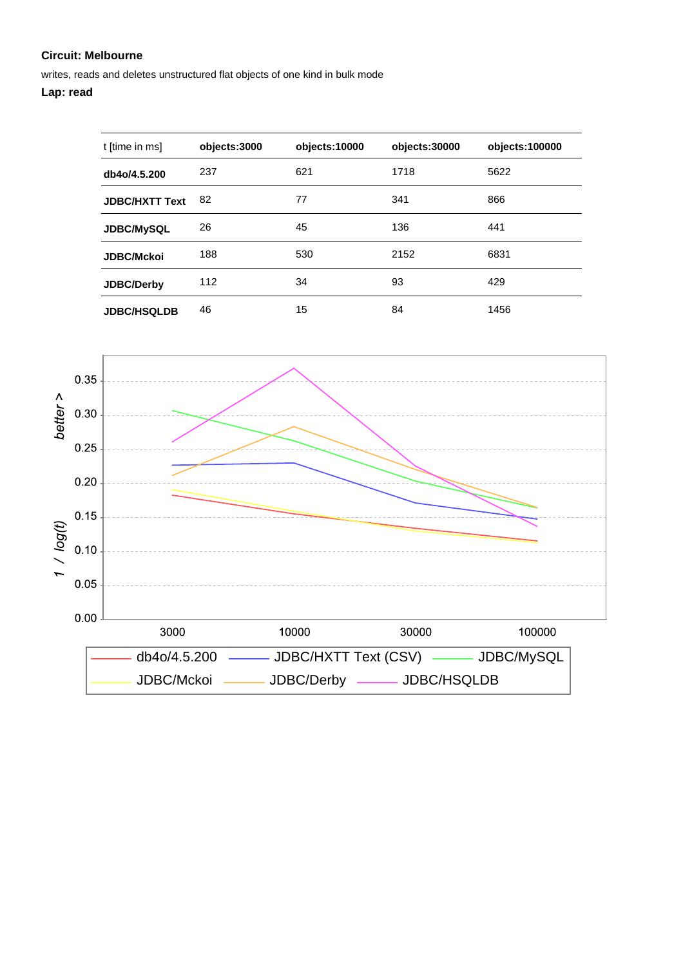writes, reads and deletes unstructured flat objects of one kind in bulk mode

## **Lap: read**

| t [time in ms]        | objects:3000 | objects:10000 | objects:30000 | objects:100000 |
|-----------------------|--------------|---------------|---------------|----------------|
| db4o/4.5.200          | 237          | 621           | 1718          | 5622           |
| <b>JDBC/HXTT Text</b> | 82           | 77            | 341           | 866            |
| <b>JDBC/MySQL</b>     | 26           | 45            | 136           | 441            |
| <b>JDBC/Mckoi</b>     | 188          | 530           | 2152          | 6831           |
| <b>JDBC/Derby</b>     | 112          | 34            | 93            | 429            |
| <b>JDBC/HSQLDB</b>    | 46           | 15            | 84            | 1456           |

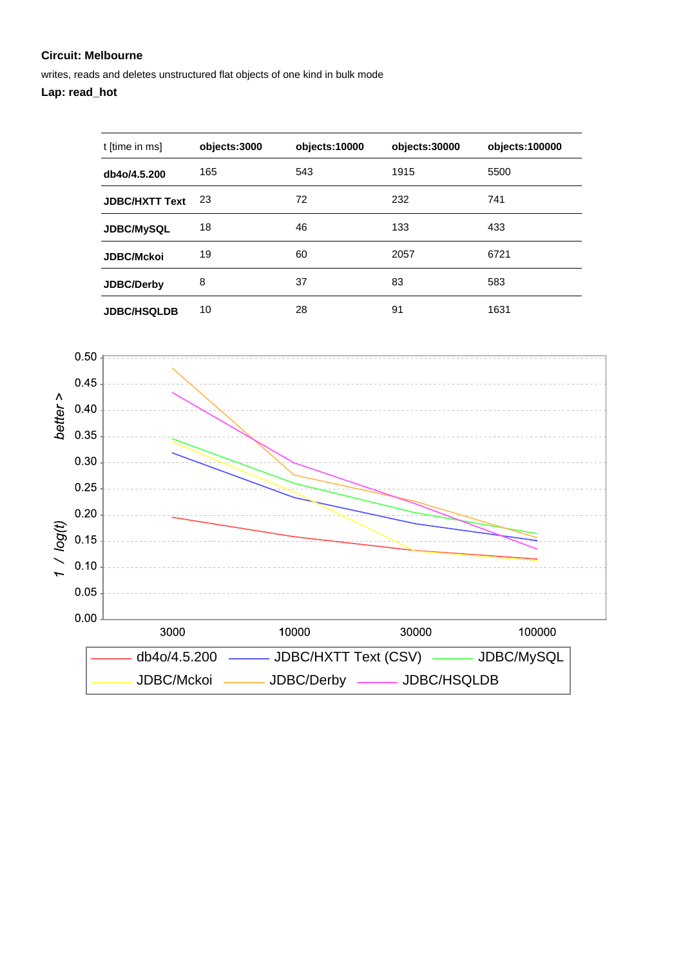writes, reads and deletes unstructured flat objects of one kind in bulk mode

## **Lap: read\_hot**

| t [time in ms]        | objects:3000 | objects:10000 | objects:30000 | objects:100000 |
|-----------------------|--------------|---------------|---------------|----------------|
| db4o/4.5.200          | 165          | 543           | 1915          | 5500           |
| <b>JDBC/HXTT Text</b> | 23           | 72            | 232           | 741            |
| <b>JDBC/MySQL</b>     | 18           | 46            | 133           | 433            |
| <b>JDBC/Mckoi</b>     | 19           | 60            | 2057          | 6721           |
| JDBC/Derby            | 8            | 37            | 83            | 583            |
| <b>JDBC/HSQLDB</b>    | 10           | 28            | 91            | 1631           |

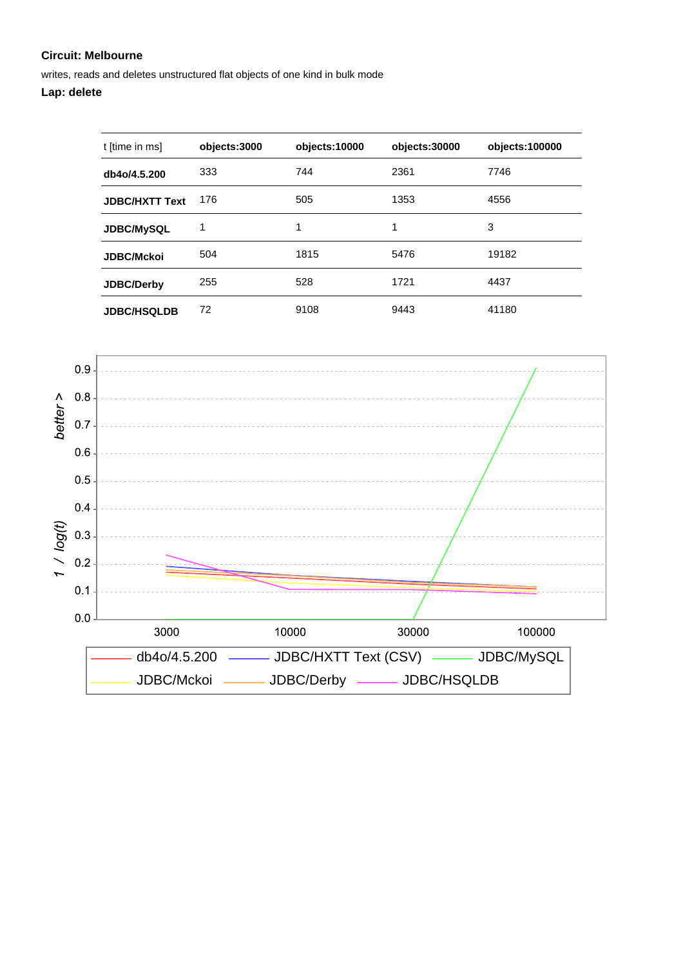writes, reads and deletes unstructured flat objects of one kind in bulk mode

| t [time in ms]        | objects:3000 | objects:10000 | objects:30000 | objects:100000 |
|-----------------------|--------------|---------------|---------------|----------------|
| db4o/4.5.200          | 333          | 744           | 2361          | 7746           |
| <b>JDBC/HXTT Text</b> | 176          | 505           | 1353          | 4556           |
| <b>JDBC/MySQL</b>     | 1            | 1             | 1             | 3              |
| <b>JDBC/Mckoi</b>     | 504          | 1815          | 5476          | 19182          |
| <b>JDBC/Derby</b>     | 255          | 528           | 1721          | 4437           |
| <b>JDBC/HSQLDB</b>    | 72           | 9108          | 9443          | 41180          |

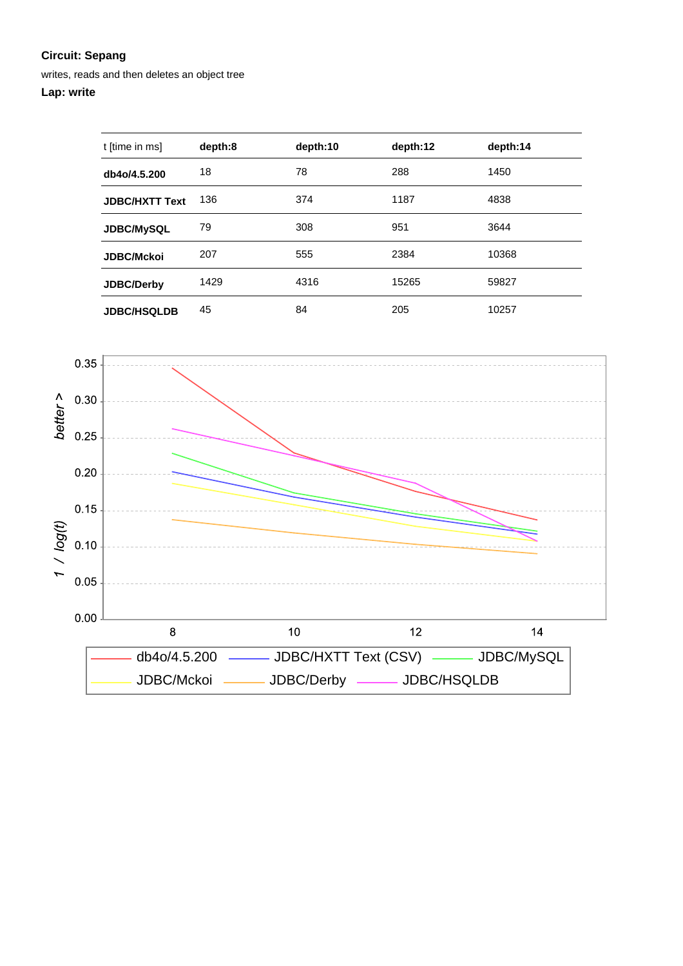writes, reads and then deletes an object tree

| t [time in ms]        | depth:8 | depth:10 | depth:12 | depth:14 |
|-----------------------|---------|----------|----------|----------|
| db4o/4.5.200          | 18      | 78       | 288      | 1450     |
| <b>JDBC/HXTT Text</b> | 136     | 374      | 1187     | 4838     |
| <b>JDBC/MySQL</b>     | 79      | 308      | 951      | 3644     |
| <b>JDBC/Mckoi</b>     | 207     | 555      | 2384     | 10368    |
| <b>JDBC/Derby</b>     | 1429    | 4316     | 15265    | 59827    |
| <b>JDBC/HSQLDB</b>    | 45      | 84       | 205      | 10257    |

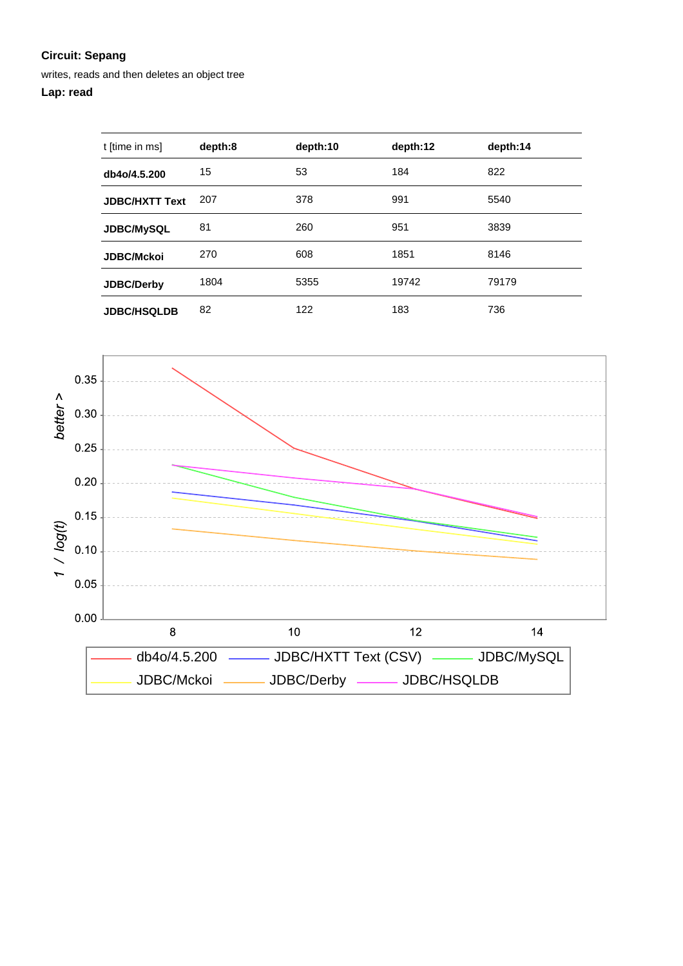writes, reads and then deletes an object tree

## **Lap: read**

| t [time in ms]        | depth:8 | depth:10 | depth:12 | depth:14 |
|-----------------------|---------|----------|----------|----------|
| db4o/4.5.200          | 15      | 53       | 184      | 822      |
| <b>JDBC/HXTT Text</b> | 207     | 378      | 991      | 5540     |
| <b>JDBC/MySQL</b>     | 81      | 260      | 951      | 3839     |
| <b>JDBC/Mckoi</b>     | 270     | 608      | 1851     | 8146     |
| <b>JDBC/Derby</b>     | 1804    | 5355     | 19742    | 79179    |
| <b>JDBC/HSQLDB</b>    | 82      | 122      | 183      | 736      |

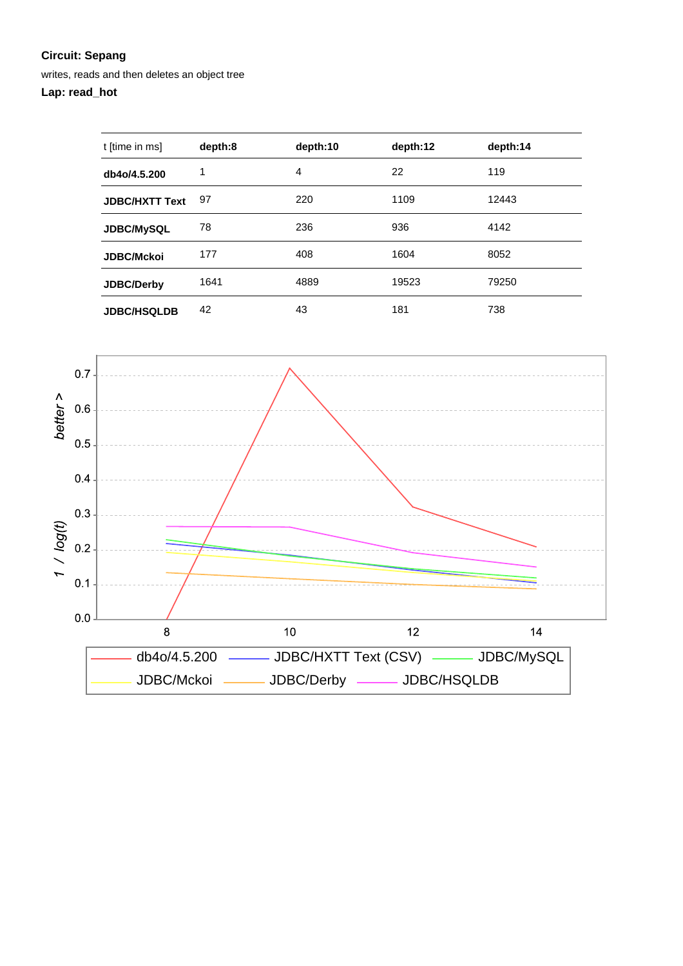writes, reads and then deletes an object tree

## **Lap: read\_hot**

| t [time in ms]        | depth:8 | depth:10       | depth:12 | depth:14 |
|-----------------------|---------|----------------|----------|----------|
| db4o/4.5.200          | 1       | $\overline{4}$ | 22       | 119      |
| <b>JDBC/HXTT Text</b> | 97      | 220            | 1109     | 12443    |
| <b>JDBC/MySQL</b>     | 78      | 236            | 936      | 4142     |
| <b>JDBC/Mckoi</b>     | 177     | 408            | 1604     | 8052     |
| JDBC/Derby            | 1641    | 4889           | 19523    | 79250    |
| <b>JDBC/HSQLDB</b>    | 42      | 43             | 181      | 738      |

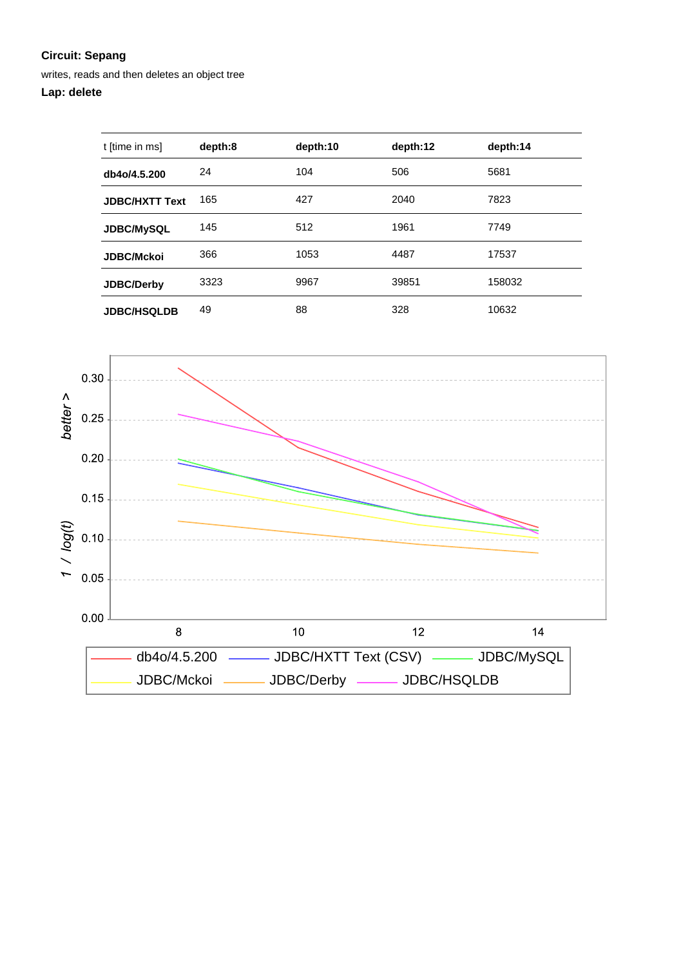writes, reads and then deletes an object tree

| t [time in ms]        | depth:8 | depth:10 | depth:12 | depth:14 |
|-----------------------|---------|----------|----------|----------|
| db4o/4.5.200          | 24      | 104      | 506      | 5681     |
| <b>JDBC/HXTT Text</b> | 165     | 427      | 2040     | 7823     |
| JDBC/MySQL            | 145     | 512      | 1961     | 7749     |
| <b>JDBC/Mckoi</b>     | 366     | 1053     | 4487     | 17537    |
| <b>JDBC/Derby</b>     | 3323    | 9967     | 39851    | 158032   |
| <b>JDBC/HSQLDB</b>    | 49      | 88       | 328      | 10632    |

![](_page_8_Figure_4.jpeg)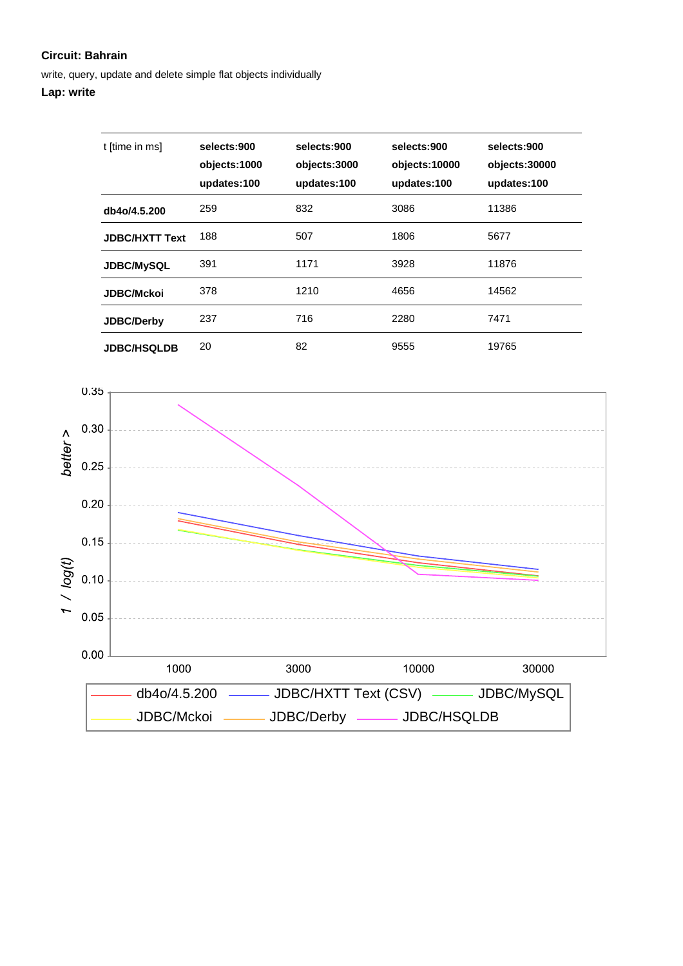write, query, update and delete simple flat objects individually

| t [time in ms]        | selects:900<br>objects:1000<br>updates:100 | selects:900<br>objects:3000<br>updates:100 | selects:900<br>objects:10000<br>updates:100 | selects:900<br>objects:30000<br>updates:100 |
|-----------------------|--------------------------------------------|--------------------------------------------|---------------------------------------------|---------------------------------------------|
| db4o/4.5.200          | 259                                        | 832                                        | 3086                                        | 11386                                       |
| <b>JDBC/HXTT Text</b> | 188                                        | 507                                        | 1806                                        | 5677                                        |
| <b>JDBC/MySQL</b>     | 391                                        | 1171                                       | 3928                                        | 11876                                       |
| <b>JDBC/Mckoi</b>     | 378                                        | 1210                                       | 4656                                        | 14562                                       |
| <b>JDBC/Derby</b>     | 237                                        | 716                                        | 2280                                        | 7471                                        |
| <b>JDBC/HSQLDB</b>    | 20                                         | 82                                         | 9555                                        | 19765                                       |

![](_page_9_Figure_4.jpeg)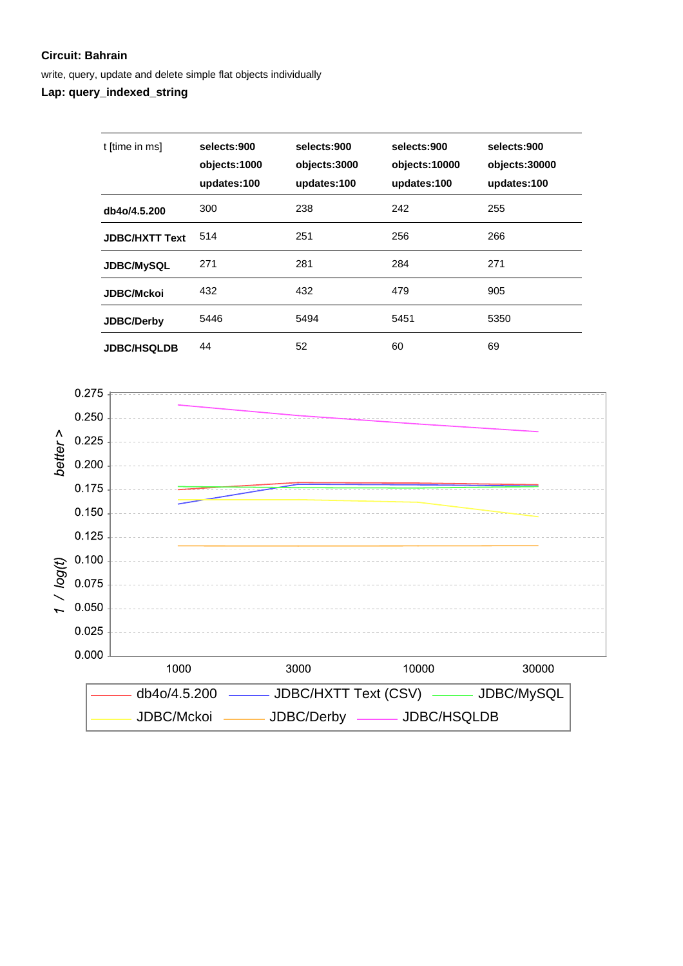write, query, update and delete simple flat objects individually

**Lap: query\_indexed\_string**

| t [time in ms]        | selects:900<br>objects:1000<br>updates:100 | selects:900<br>objects:3000<br>updates:100 | selects:900<br>objects:10000<br>updates:100 | selects:900<br>objects:30000<br>updates:100 |
|-----------------------|--------------------------------------------|--------------------------------------------|---------------------------------------------|---------------------------------------------|
| db4o/4.5.200          | 300                                        | 238                                        | 242                                         | 255                                         |
| <b>JDBC/HXTT Text</b> | 514                                        | 251                                        | 256                                         | 266                                         |
| <b>JDBC/MySQL</b>     | 271                                        | 281                                        | 284                                         | 271                                         |
| <b>JDBC/Mckoi</b>     | 432                                        | 432                                        | 479                                         | 905                                         |
| <b>JDBC/Derby</b>     | 5446                                       | 5494                                       | 5451                                        | 5350                                        |
| <b>JDBC/HSQLDB</b>    | 44                                         | 52                                         | 60                                          | 69                                          |

![](_page_10_Figure_4.jpeg)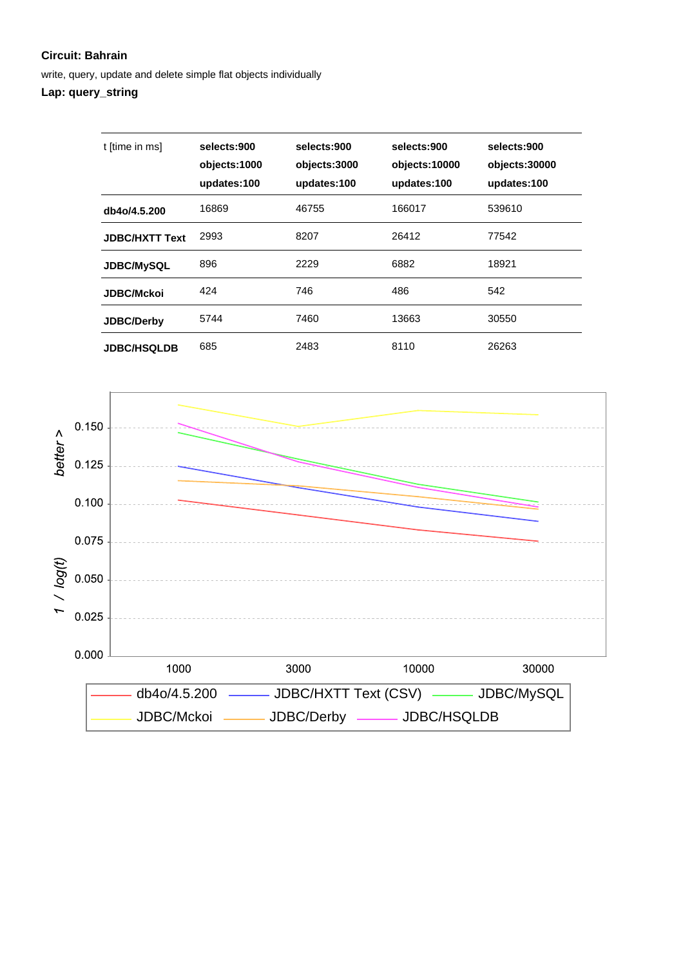write, query, update and delete simple flat objects individually

## **Lap: query\_string**

| t [time in ms]        | selects:900<br>objects:1000<br>updates:100 | selects:900<br>objects:3000<br>updates:100 | selects:900<br>objects:10000<br>updates:100 | selects:900<br>objects:30000<br>updates:100 |
|-----------------------|--------------------------------------------|--------------------------------------------|---------------------------------------------|---------------------------------------------|
| db4o/4.5.200          | 16869                                      | 46755                                      | 166017                                      | 539610                                      |
| <b>JDBC/HXTT Text</b> | 2993                                       | 8207                                       | 26412                                       | 77542                                       |
| <b>JDBC/MySQL</b>     | 896                                        | 2229                                       | 6882                                        | 18921                                       |
| <b>JDBC/Mckoi</b>     | 424                                        | 746                                        | 486                                         | 542                                         |
| <b>JDBC/Derby</b>     | 5744                                       | 7460                                       | 13663                                       | 30550                                       |
| <b>JDBC/HSQLDB</b>    | 685                                        | 2483                                       | 8110                                        | 26263                                       |

![](_page_11_Figure_4.jpeg)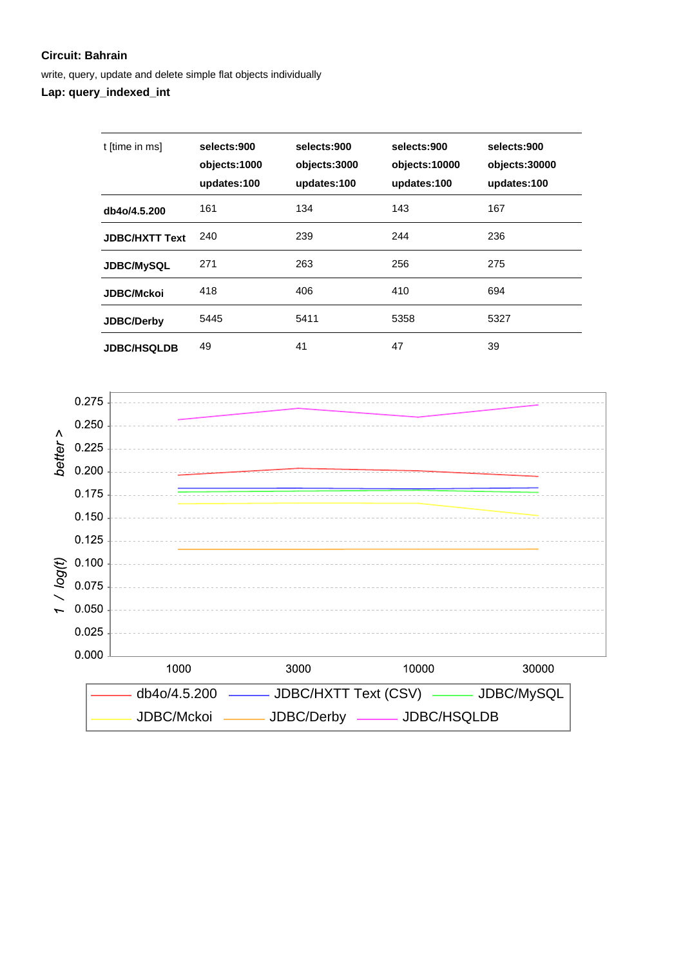write, query, update and delete simple flat objects individually

**Lap: query\_indexed\_int**

| t [time in ms]        | selects:900<br>objects:1000<br>updates:100 | selects:900<br>objects:3000<br>updates:100 | selects:900<br>objects:10000<br>updates:100 | selects:900<br>objects:30000<br>updates:100 |
|-----------------------|--------------------------------------------|--------------------------------------------|---------------------------------------------|---------------------------------------------|
| db4o/4.5.200          | 161                                        | 134                                        | 143                                         | 167                                         |
| <b>JDBC/HXTT Text</b> | 240                                        | 239                                        | 244                                         | 236                                         |
| <b>JDBC/MySQL</b>     | 271                                        | 263                                        | 256                                         | 275                                         |
| <b>JDBC/Mckoi</b>     | 418                                        | 406                                        | 410                                         | 694                                         |
| <b>JDBC/Derby</b>     | 5445                                       | 5411                                       | 5358                                        | 5327                                        |
| <b>JDBC/HSQLDB</b>    | 49                                         | 41                                         | 47                                          | 39                                          |

![](_page_12_Figure_4.jpeg)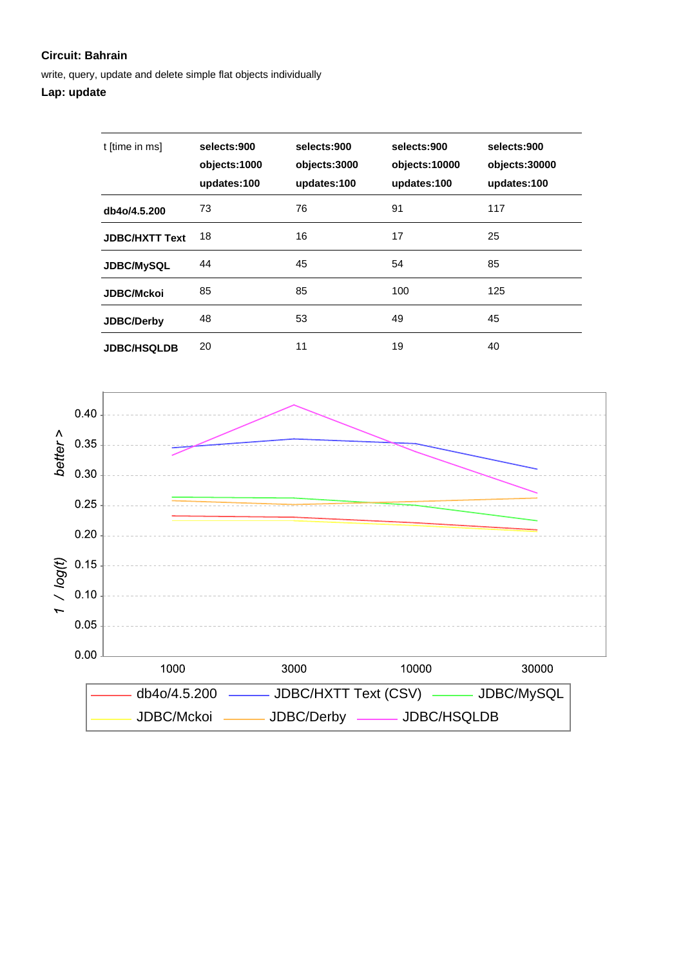write, query, update and delete simple flat objects individually

## **Lap: update**

| t [time in ms]        | selects:900<br>objects:1000<br>updates:100 | selects:900<br>objects:3000<br>updates:100 | selects:900<br>objects:10000<br>updates:100 | selects:900<br>objects:30000<br>updates:100 |
|-----------------------|--------------------------------------------|--------------------------------------------|---------------------------------------------|---------------------------------------------|
| db4o/4.5.200          | 73                                         | 76                                         | 91                                          | 117                                         |
| <b>JDBC/HXTT Text</b> | 18                                         | 16                                         | 17                                          | 25                                          |
| <b>JDBC/MySQL</b>     | 44                                         | 45                                         | 54                                          | 85                                          |
| <b>JDBC/Mckoi</b>     | 85                                         | 85                                         | 100                                         | 125                                         |
| <b>JDBC/Derby</b>     | 48                                         | 53                                         | 49                                          | 45                                          |
| <b>JDBC/HSQLDB</b>    | 20                                         | 11                                         | 19                                          | 40                                          |

![](_page_13_Figure_4.jpeg)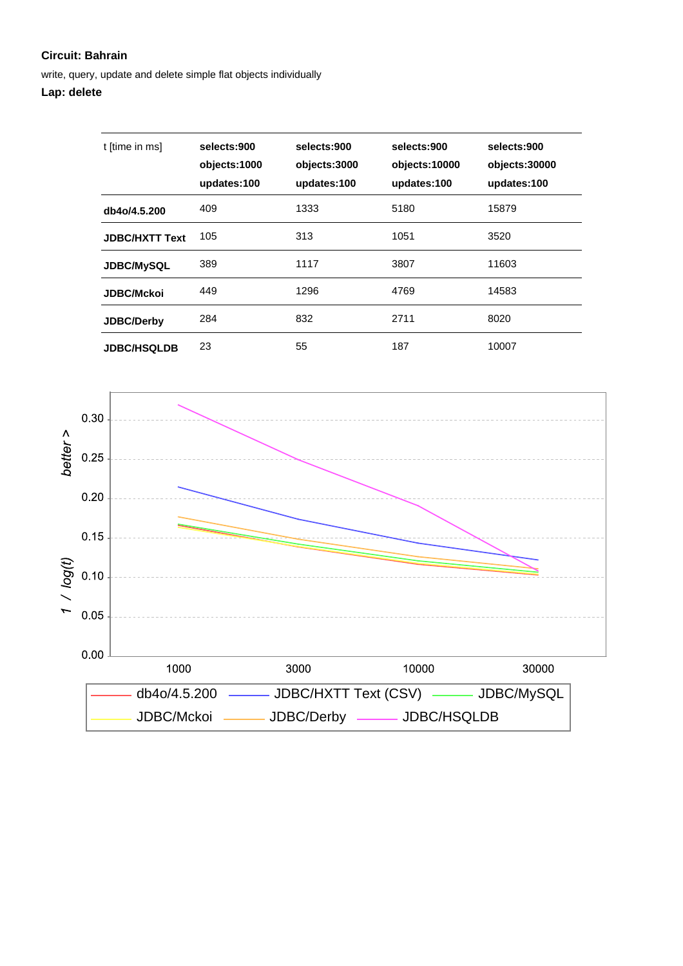write, query, update and delete simple flat objects individually

| t [time in ms]        | selects:900<br>objects:1000<br>updates:100 | selects:900<br>objects:3000<br>updates:100 | selects:900<br>objects:10000<br>updates:100 | selects:900<br>objects:30000<br>updates:100 |
|-----------------------|--------------------------------------------|--------------------------------------------|---------------------------------------------|---------------------------------------------|
| db4o/4.5.200          | 409                                        | 1333                                       | 5180                                        | 15879                                       |
| <b>JDBC/HXTT Text</b> | 105                                        | 313                                        | 1051                                        | 3520                                        |
| <b>JDBC/MySQL</b>     | 389                                        | 1117                                       | 3807                                        | 11603                                       |
| <b>JDBC/Mckoi</b>     | 449                                        | 1296                                       | 4769                                        | 14583                                       |
| <b>JDBC/Derby</b>     | 284                                        | 832                                        | 2711                                        | 8020                                        |
| <b>JDBC/HSQLDB</b>    | 23                                         | 55                                         | 187                                         | 10007                                       |

![](_page_14_Figure_4.jpeg)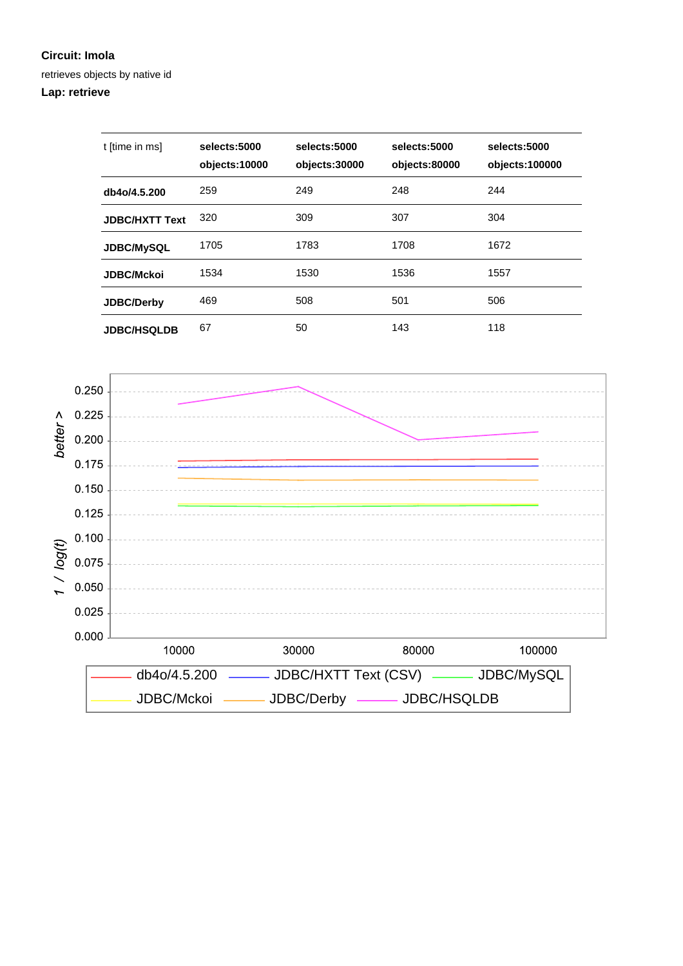#### **Circuit: Imola**

retrieves objects by native id

## **Lap: retrieve**

| t [time in ms]        | selects:5000<br>objects:10000 | selects:5000<br>objects:30000 | selects:5000<br>objects:80000 | selects:5000<br>objects:100000 |
|-----------------------|-------------------------------|-------------------------------|-------------------------------|--------------------------------|
| db4o/4.5.200          | 259                           | 249                           | 248                           | 244                            |
| <b>JDBC/HXTT Text</b> | 320                           | 309                           | 307                           | 304                            |
| <b>JDBC/MySQL</b>     | 1705                          | 1783                          | 1708                          | 1672                           |
| <b>JDBC/Mckoi</b>     | 1534                          | 1530                          | 1536                          | 1557                           |
| <b>JDBC/Derby</b>     | 469                           | 508                           | 501                           | 506                            |
| <b>JDBC/HSQLDB</b>    | 67                            | 50                            | 143                           | 118                            |

![](_page_15_Figure_4.jpeg)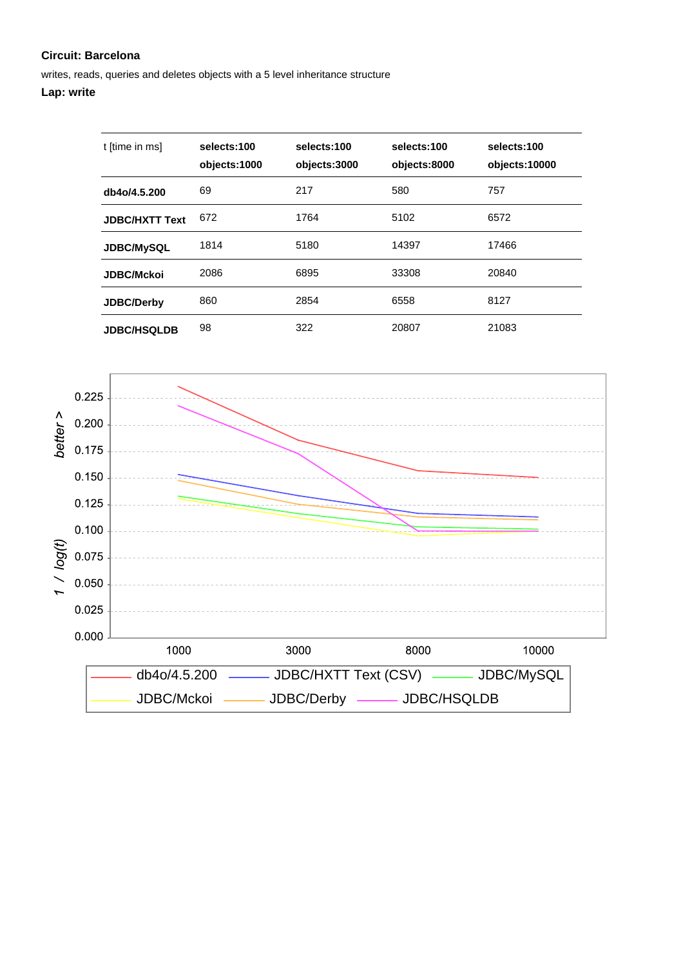writes, reads, queries and deletes objects with a 5 level inheritance structure

| t [time in ms]        | selects:100<br>objects:1000 | selects:100<br>objects:3000 | selects:100<br>objects:8000 | selects:100<br>objects:10000 |
|-----------------------|-----------------------------|-----------------------------|-----------------------------|------------------------------|
| db4o/4.5.200          | 69                          | 217                         | 580                         | 757                          |
| <b>JDBC/HXTT Text</b> | 672                         | 1764                        | 5102                        | 6572                         |
| <b>JDBC/MySQL</b>     | 1814                        | 5180                        | 14397                       | 17466                        |
| <b>JDBC/Mckoi</b>     | 2086                        | 6895                        | 33308                       | 20840                        |
| <b>JDBC/Derby</b>     | 860                         | 2854                        | 6558                        | 8127                         |
| <b>JDBC/HSQLDB</b>    | 98                          | 322                         | 20807                       | 21083                        |

![](_page_16_Figure_4.jpeg)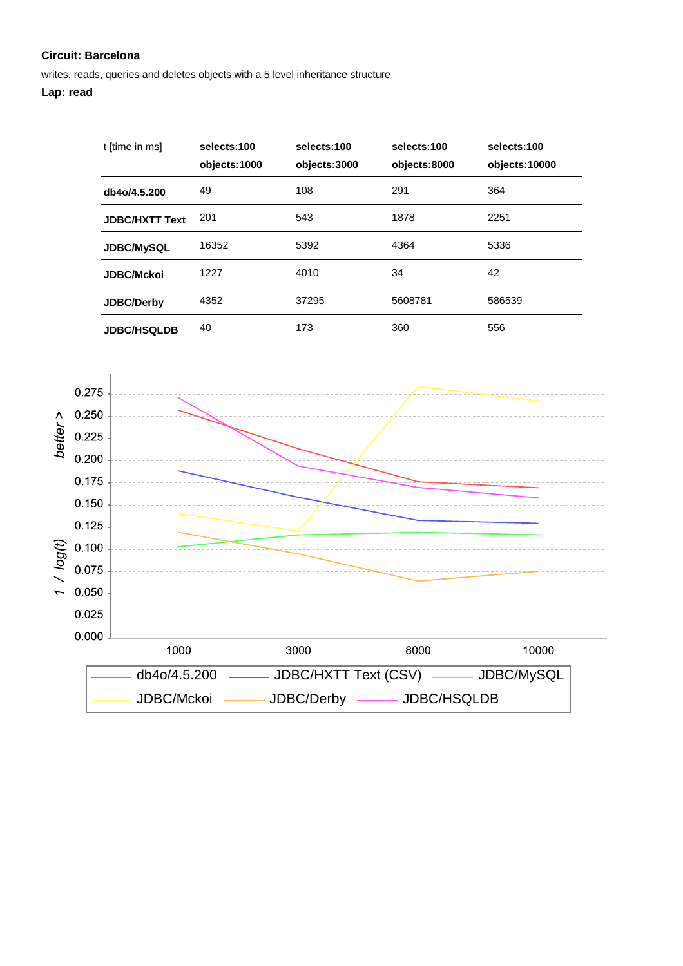writes, reads, queries and deletes objects with a 5 level inheritance structure

## **Lap: read**

| t [time in ms]        | selects:100<br>objects:1000 | selects:100<br>objects:3000 | selects:100<br>objects:8000 | selects:100<br>objects:10000 |
|-----------------------|-----------------------------|-----------------------------|-----------------------------|------------------------------|
| db4o/4.5.200          | 49                          | 108                         | 291                         | 364                          |
| <b>JDBC/HXTT Text</b> | 201                         | 543                         | 1878                        | 2251                         |
| <b>JDBC/MySQL</b>     | 16352                       | 5392                        | 4364                        | 5336                         |
| <b>JDBC/Mckoi</b>     | 1227                        | 4010                        | 34                          | 42                           |
| JDBC/Derby            | 4352                        | 37295                       | 5608781                     | 586539                       |
| <b>JDBC/HSQLDB</b>    | 40                          | 173                         | 360                         | 556                          |

![](_page_17_Figure_4.jpeg)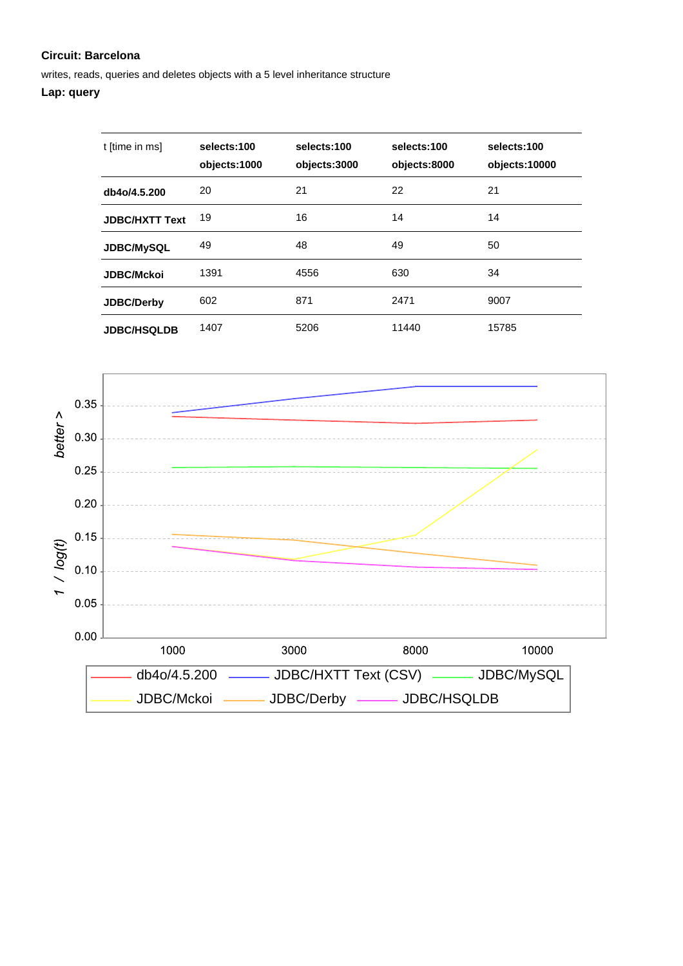writes, reads, queries and deletes objects with a 5 level inheritance structure

## **Lap: query**

| t [time in ms]        | selects:100<br>objects:1000 | selects:100<br>objects:3000 | selects:100<br>objects:8000 | selects:100<br>objects:10000 |
|-----------------------|-----------------------------|-----------------------------|-----------------------------|------------------------------|
| db4o/4.5.200          | 20                          | 21                          | 22                          | 21                           |
| <b>JDBC/HXTT Text</b> | 19                          | 16                          | 14                          | 14                           |
| <b>JDBC/MySQL</b>     | 49                          | 48                          | 49                          | 50                           |
| <b>JDBC/Mckoi</b>     | 1391                        | 4556                        | 630                         | 34                           |
| JDBC/Derby            | 602                         | 871                         | 2471                        | 9007                         |
| <b>JDBC/HSQLDB</b>    | 1407                        | 5206                        | 11440                       | 15785                        |

![](_page_18_Figure_4.jpeg)